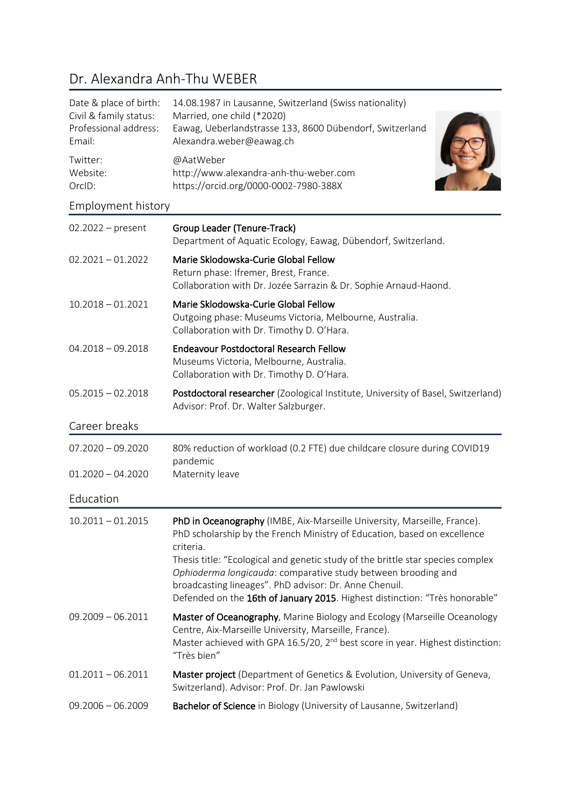# Dr. Alexandra Anh-Thu WEBER

| Date & place of birth:<br>Civil & family status:<br>Professional address:<br>Email: | 14.08.1987 in Lausanne, Switzerland (Swiss nationality)<br>Married, one child (*2020)<br>Eawag, Ueberlandstrasse 133, 8600 Dübendorf, Switzerland<br>Alexandra.weber@eawag.ch |  |
|-------------------------------------------------------------------------------------|-------------------------------------------------------------------------------------------------------------------------------------------------------------------------------|--|
| Twitter:<br>Website:<br>OrcID:                                                      | @AatWeber<br>http://www.alexandra-anh-thu-weber.com<br>https://orcid.org/0000-0002-7980-388X                                                                                  |  |
| Employment history                                                                  |                                                                                                                                                                               |  |

| $02.2022 - present$ | Group Leader (Tenure-Track)<br>Department of Aquatic Ecology, Eawag, Dübendorf, Switzerland.                                                                                                                                                                                              |
|---------------------|-------------------------------------------------------------------------------------------------------------------------------------------------------------------------------------------------------------------------------------------------------------------------------------------|
| $02.2021 - 01.2022$ | Marie Sklodowska-Curie Global Fellow<br>Return phase: Ifremer, Brest, France.<br>Collaboration with Dr. Jozée Sarrazin & Dr. Sophie Arnaud-Haond.                                                                                                                                         |
| $10.2018 - 01.2021$ | Marie Sklodowska-Curie Global Fellow<br>Outgoing phase: Museums Victoria, Melbourne, Australia.<br>Collaboration with Dr. Timothy D. O'Hara.                                                                                                                                              |
| $04.2018 - 09.2018$ | <b>Endeavour Postdoctoral Research Fellow</b><br>Museums Victoria, Melbourne, Australia.<br>Collaboration with Dr. Timothy D. O'Hara.                                                                                                                                                     |
| $05.2015 - 02.2018$ | Postdoctoral researcher (Zoological Institute, University of Basel, Switzerland)<br>Advisor: Prof. Dr. Walter Salzburger.                                                                                                                                                                 |
| Career breaks       |                                                                                                                                                                                                                                                                                           |
| $07.2020 - 09.2020$ | 80% reduction of workload (0.2 FTE) due childcare closure during COVID19<br>pandemic                                                                                                                                                                                                      |
| $01.2020 - 04.2020$ | Maternity leave                                                                                                                                                                                                                                                                           |
| Education           |                                                                                                                                                                                                                                                                                           |
| $10.2011 - 01.2015$ | PhD in Oceanography (IMBE, Aix-Marseille University, Marseille, France).<br>PhD scholarship by the French Ministry of Education, based on excellence<br>criteria.                                                                                                                         |
|                     | Thesis title: "Ecological and genetic study of the brittle star species complex<br>Ophioderma longicauda: comparative study between brooding and<br>broadcasting lineages". PhD advisor: Dr. Anne Chenuil.<br>Defended on the 16th of January 2015. Highest distinction: "Très honorable" |
| $09.2009 - 06.2011$ | Master of Oceanography, Marine Biology and Ecology (Marseille Oceanology<br>Centre, Aix-Marseille University, Marseille, France).<br>Master achieved with GPA 16.5/20, 2 <sup>nd</sup> best score in year. Highest distinction:<br>"Très bien"                                            |
| $01.2011 - 06.2011$ | Master project (Department of Genetics & Evolution, University of Geneva,                                                                                                                                                                                                                 |
|                     | Switzerland). Advisor: Prof. Dr. Jan Pawlowski                                                                                                                                                                                                                                            |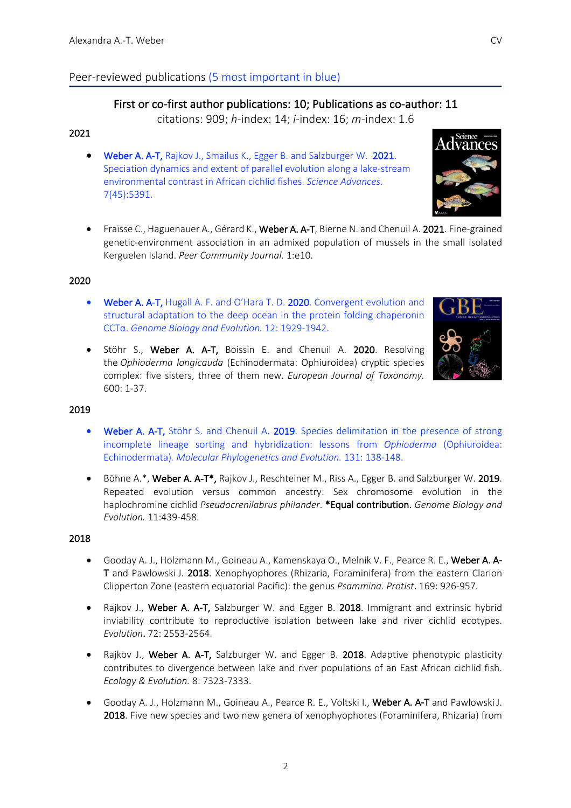# Peer-reviewed publications (5 most important in blue)

# First or co-first author publications: 10; Publications as co-author: 11

citations: 909; *h*-index: 14; *i*-index: 16; *m*-index: 1.6

## 2021

- Weber A. A-T, Rajkov J., Smailus K., Egger B. and Salzburger W. 2021. Speciation dynamics and extent of parallel evolution along a lake-stream environmental contrast in African cichlid fishes. *Science Advances*. 7(45):5391.
- Fraïsse C., Haguenauer A., Gérard K., Weber A. A-T, Bierne N. and Chenuil A. 2021. Fine-grained genetic-environment association in an admixed population of mussels in the small isolated Kerguelen Island. *Peer Community Journal.* 1:e10.

#### 2020

- Weber A. A-T, Hugall A. F. and O'Hara T. D. 2020. Convergent evolution and structural adaptation to the deep ocean in the protein folding chaperonin CCTα. *Genome Biology and Evolution.* 12: 1929-1942.
- Stöhr S., Weber A. A-T, Boissin E. and Chenuil A. 2020. Resolving the *Ophioderma longicauda* (Echinodermata: Ophiuroidea) cryptic species complex: five sisters, three of them new. *European Journal of Taxonomy.* 600: 1-37.

#### 2019

- Weber A. A-T, Stöhr S. and Chenuil A. 2019. Species delimitation in the presence of strong incomplete lineage sorting and hybridization: lessons from *Ophioderma* (Ophiuroidea: Echinodermata)*. Molecular Phylogenetics and Evolution.* 131: 138-148.
- Böhne A.\*, Weber A. A-T\*, Rajkov J., Reschteiner M., Riss A., Egger B. and Salzburger W. 2019. Repeated evolution versus common ancestry: Sex chromosome evolution in the haplochromine cichlid *Pseudocrenilabrus philander*. \*Equal contribution. *Genome Biology and Evolution.* 11:439-458.

#### 2018

- Gooday A. J., Holzmann M., Goineau A., Kamenskaya O., Melnik V. F., Pearce R. E., Weber A. A-T and Pawlowski J. 2018. Xenophyophores (Rhizaria, Foraminifera) from the eastern Clarion Clipperton Zone (eastern equatorial Pacific): the genus *Psammina. Protist*. 169: 926-957.
- Rajkov J., Weber A. A-T, Salzburger W. and Egger B. 2018. Immigrant and extrinsic hybrid inviability contribute to reproductive isolation between lake and river cichlid ecotypes. *Evolution*. 72: 2553-2564.
- Rajkov J., Weber A. A-T, Salzburger W. and Egger B. 2018. Adaptive phenotypic plasticity contributes to divergence between lake and river populations of an East African cichlid fish. *Ecology & Evolution.* 8: 7323-7333.
- Gooday A. J., Holzmann M., Goineau A., Pearce R. E., Voltski I., Weber A. A-T and Pawlowski J. 2018. Five new species and two new genera of xenophyophores (Foraminifera, Rhizaria) from



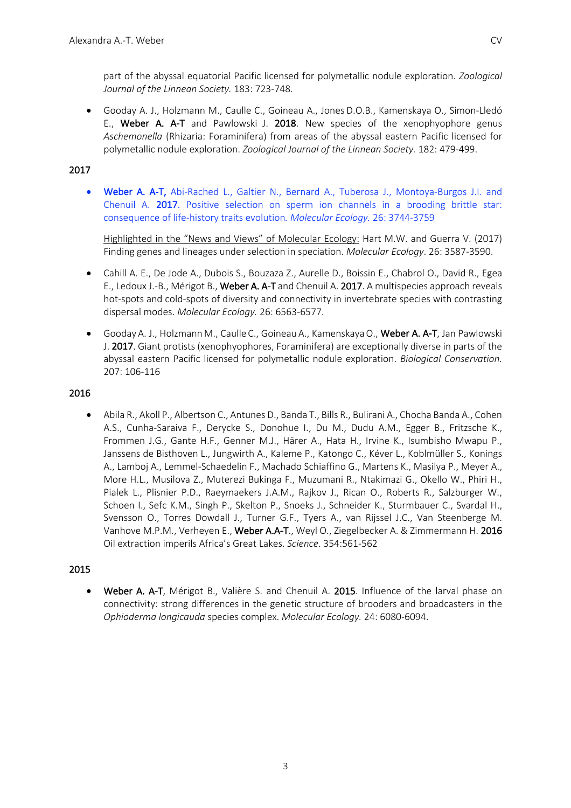part of the abyssal equatorial Pacific licensed for polymetallic nodule exploration. *Zoological Journal of the Linnean Society.* 183: 723-748.

• Gooday A. J., Holzmann M., Caulle C., Goineau A., Jones D.O.B., Kamenskaya O., Simon-Lledó E., Weber A. A-T and Pawlowski J. 2018. New species of the xenophyophore genus *Aschemonella* (Rhizaria: Foraminifera) from areas of the abyssal eastern Pacific licensed for polymetallic nodule exploration. *Zoological Journal of the Linnean Society.* 182: 479-499.

## 2017

• Weber A. A-T, Abi-Rached L., Galtier N., Bernard A., Tuberosa J., Montoya-Burgos J.I. and Chenuil A. 2017. Positive selection on sperm ion channels in a brooding brittle star: consequence of life-history traits evolution*. Molecular Ecology.* 26: 3744-3759

Highlighted in the "News and Views" of Molecular Ecology: Hart M.W. and Guerra V. (2017) Finding genes and lineages under selection in speciation. *Molecular Ecology*. 26: 3587-3590.

- Cahill A. E., De Jode A., Dubois S., Bouzaza Z., Aurelle D., Boissin E., Chabrol O., David R., Egea E., Ledoux J.-B., Mérigot B., Weber A. A-T and Chenuil A. 2017. A multispecies approach reveals hot-spots and cold-spots of diversity and connectivity in invertebrate species with contrasting dispersal modes. *Molecular Ecology.* 26: 6563-6577.
- Gooday A. J., Holzmann M., Caulle C., Goineau A., KamenskayaO., Weber A. A-T, Jan Pawlowski J. 2017. Giant protists (xenophyophores, Foraminifera) are exceptionally diverse in parts of the abyssal eastern Pacific licensed for polymetallic nodule exploration. *Biological Conservation.* 207: 106-116

## 2016

• Abila R., Akoll P., Albertson C., Antunes D., Banda T., Bills R., Bulirani A., Chocha Banda A., Cohen A.S., Cunha-Saraiva F., Derycke S., Donohue I., Du M., Dudu A.M., Egger B., Fritzsche K., Frommen J.G., Gante H.F., Genner M.J., Härer A., Hata H., Irvine K., Isumbisho Mwapu P., Janssens de Bisthoven L., Jungwirth A., Kaleme P., Katongo C., Kéver L., Koblmüller S., Konings A., Lamboj A., Lemmel-Schaedelin F., Machado Schiaffino G., Martens K., Masilya P., Meyer A., More H.L., Musilova Z., Muterezi Bukinga F., Muzumani R., Ntakimazi G., Okello W., Phiri H., Pialek L., Plisnier P.D., Raeymaekers J.A.M., Rajkov J., Rican O., Roberts R., Salzburger W., Schoen I., Sefc K.M., Singh P., Skelton P., Snoeks J., Schneider K., Sturmbauer C., Svardal H., Svensson O., Torres Dowdall J., Turner G.F., Tyers A., van Rijssel J.C., Van Steenberge M. Vanhove M.P.M., Verheyen E., Weber A.A-T., Weyl O., Ziegelbecker A. & Zimmermann H. 2016 Oil extraction imperils Africa's Great Lakes. *Science*. 354:561-562

## 2015

• Weber A. A-T, Mérigot B., Valière S. and Chenuil A. 2015. Influence of the larval phase on connectivity: strong differences in the genetic structure of brooders and broadcasters in the *Ophioderma longicauda* species complex. *Molecular Ecology.* 24: 6080-6094.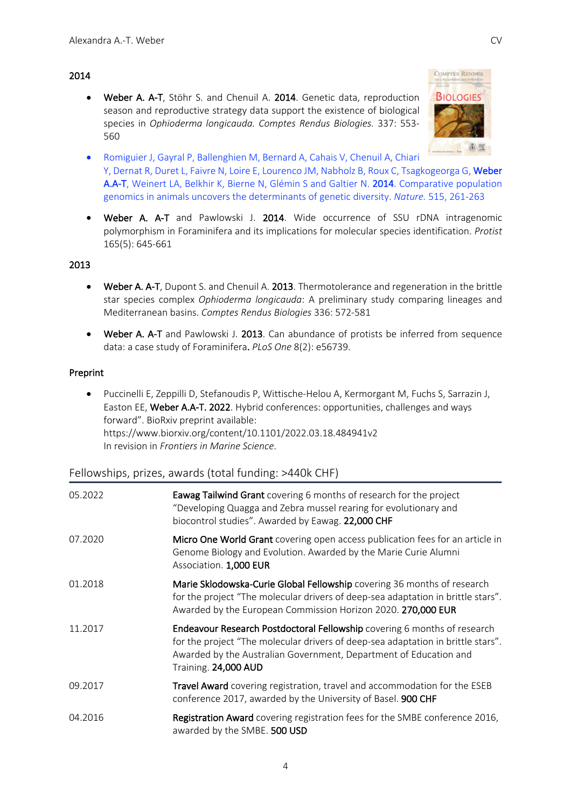## 2014

• Weber A. A-T, Stöhr S. and Chenuil A. 2014. Genetic data, reproduction season and reproductive strategy data support the existence of biological species in *Ophioderma longicauda. Comptes Rendus Biologies.* 337: 553- 560



- Romiguier J, Gayral P, Ballenghien M, Bernard A, Cahais V, Chenuil A, Chiari Y, Dernat R, Duret L, Faivre N, Loire E, Lourenco JM, Nabholz B, Roux C, Tsagkogeorga G, Weber A.A-T, Weinert LA, Belkhir K, Bierne N, Glémin S and Galtier N. 2014. Comparative population genomics in animals uncovers the determinants of genetic diversity. *Nature.* 515, 261-263
- Weber A. A-T and Pawlowski J. 2014. Wide occurrence of SSU rDNA intragenomic polymorphism in Foraminifera and its implications for molecular species identification. *Protist* 165(5): 645-661

#### 2013

- Weber A. A-T, Dupont S. and Chenuil A. 2013. Thermotolerance and regeneration in the brittle star species complex *Ophioderma longicauda*: A preliminary study comparing lineages and Mediterranean basins. *Comptes Rendus Biologies* 336: 572-581
- Weber A. A-T and Pawlowski J. 2013. Can abundance of protists be inferred from sequence data: a case study of Foraminifera. *PLoS One* 8(2): e56739.

#### Preprint

• Puccinelli E, Zeppilli D, Stefanoudis P, Wittische-Helou A, Kermorgant M, Fuchs S, Sarrazin J, Easton EE, Weber A.A-T. 2022. Hybrid conferences: opportunities, challenges and ways forward". BioRxiv preprint available: https://www.biorxiv.org/content/10.1101/2022.03.18.484941v2 In revision in *Frontiers in Marine Science*.

# Fellowships, prizes, awards (total funding: >440k CHF)

| 05.2022 | Eawag Tailwind Grant covering 6 months of research for the project<br>"Developing Quagga and Zebra mussel rearing for evolutionary and<br>biocontrol studies". Awarded by Eawag. 22,000 CHF                                                               |
|---------|-----------------------------------------------------------------------------------------------------------------------------------------------------------------------------------------------------------------------------------------------------------|
| 07.2020 | Micro One World Grant covering open access publication fees for an article in<br>Genome Biology and Evolution. Awarded by the Marie Curie Alumni<br>Association. 1,000 EUR                                                                                |
| 01.2018 | Marie Sklodowska-Curie Global Fellowship covering 36 months of research<br>for the project "The molecular drivers of deep-sea adaptation in brittle stars".<br>Awarded by the European Commission Horizon 2020. 270,000 EUR                               |
| 11.2017 | Endeavour Research Postdoctoral Fellowship covering 6 months of research<br>for the project "The molecular drivers of deep-sea adaptation in brittle stars".<br>Awarded by the Australian Government, Department of Education and<br>Training. 24,000 AUD |
| 09.2017 | <b>Travel Award</b> covering registration, travel and accommodation for the ESEB<br>conference 2017, awarded by the University of Basel. 900 CHF                                                                                                          |
| 04.2016 | Registration Award covering registration fees for the SMBE conference 2016,<br>awarded by the SMBE. 500 USD                                                                                                                                               |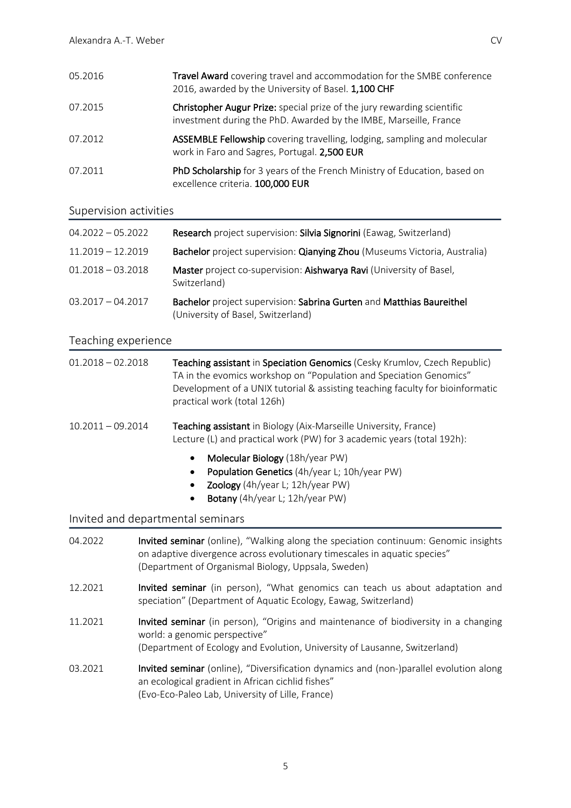| 05.2016 | <b>Travel Award</b> covering travel and accommodation for the SMBE conference<br>2016, awarded by the University of Basel. 1,100 CHF         |
|---------|----------------------------------------------------------------------------------------------------------------------------------------------|
| 07.2015 | Christopher Augur Prize: special prize of the jury rewarding scientific<br>investment during the PhD. Awarded by the IMBE, Marseille, France |
| 07.2012 | ASSEMBLE Fellowship covering travelling, lodging, sampling and molecular<br>work in Faro and Sagres, Portugal. 2,500 EUR                     |
| 07.2011 | PhD Scholarship for 3 years of the French Ministry of Education, based on<br>excellence criteria. 100,000 EUR                                |

## Supervision activities

| $04.2022 - 05.2022$ | Research project supervision: Silvia Signorini (Eawag, Switzerland)                                        |
|---------------------|------------------------------------------------------------------------------------------------------------|
| $11.2019 - 12.2019$ | Bachelor project supervision: Qianying Zhou (Museums Victoria, Australia)                                  |
| $01.2018 - 03.2018$ | Master project co-supervision: Aishwarya Ravi (University of Basel,<br>Switzerland)                        |
| $03.2017 - 04.2017$ | Bachelor project supervision: Sabrina Gurten and Matthias Baureithel<br>(University of Basel, Switzerland) |

## Teaching experience

| $01.2018 - 02.2018$ | Teaching assistant in Speciation Genomics (Cesky Krumlov, Czech Republic)<br>TA in the evomics workshop on "Population and Speciation Genomics"<br>Development of a UNIX tutorial & assisting teaching faculty for bioinformatic<br>practical work (total 126h) |
|---------------------|-----------------------------------------------------------------------------------------------------------------------------------------------------------------------------------------------------------------------------------------------------------------|
| $10.2011 - 09.2014$ | Teaching assistant in Biology (Aix-Marseille University, France)<br>Lecture (L) and practical work (PW) for 3 academic years (total 192h):                                                                                                                      |
|                     | Molecular Biology (18h/year PW)<br>Population Genetics (4h/year L; 10h/year PW)<br>Zoology (4h/year L; 12h/year PW)<br>Botany (4h/year L; 12h/year PW)<br>$\bullet$                                                                                             |
|                     | Invited and departmental seminars                                                                                                                                                                                                                               |
| 04.2022             | Invited seminar (online), "Walking along the speciation continuum: Genomic insights<br>on adaptive divergence across evolutionary timescales in aquatic species"<br>(Department of Organismal Biology, Uppsala, Sweden)                                         |
| 12.2021             | lautend seminen (in person) (() () det consecutor son togele us about adoptation and                                                                                                                                                                            |

- 12.2021 **Invited seminar** (in person), "What genomics can teach us about adaptation and speciation" (Department of Aquatic Ecology, Eawag, Switzerland)
- 11.2021 **Invited seminar** (in person), "Origins and maintenance of biodiversity in a changing world: a genomic perspective" (Department of Ecology and Evolution, University of Lausanne, Switzerland)
- 03.2021 **Invited seminar** (online), "Diversification dynamics and (non-)parallel evolution along an ecological gradient in African cichlid fishes" (Evo-Eco-Paleo Lab, University of Lille, France)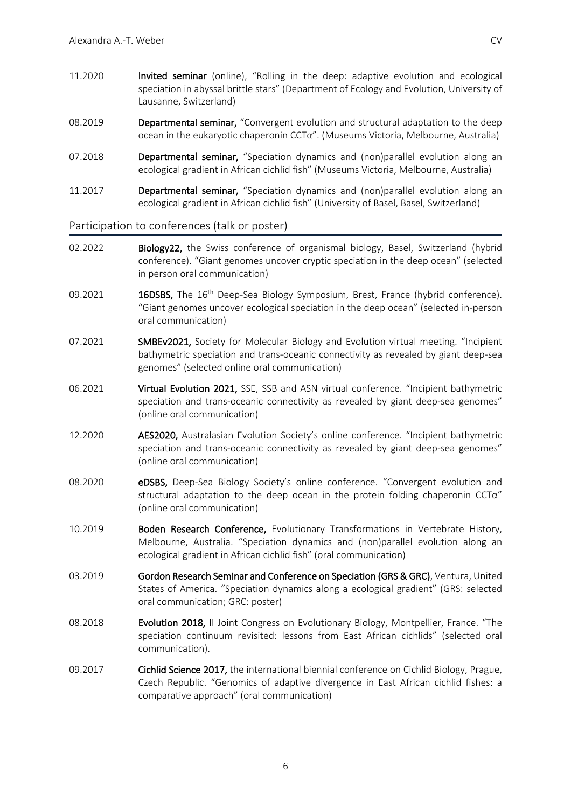- 11.2020 Invited seminar (online), "Rolling in the deep: adaptive evolution and ecological speciation in abyssal brittle stars" (Department of Ecology and Evolution, University of Lausanne, Switzerland)
- 08.2019 **Departmental seminar,** "Convergent evolution and structural adaptation to the deep ocean in the eukaryotic chaperonin CCTα". (Museums Victoria, Melbourne, Australia)
- 07.2018 **Departmental seminar,** "Speciation dynamics and (non)parallel evolution along an ecological gradient in African cichlid fish" (Museums Victoria, Melbourne, Australia)
- 11.2017 Departmental seminar, "Speciation dynamics and (non)parallel evolution along an ecological gradient in African cichlid fish" (University of Basel, Basel, Switzerland)

#### Participation to conferences (talk or poster)

- 02.2022 Biology22, the Swiss conference of organismal biology, Basel, Switzerland (hybrid conference). "Giant genomes uncover cryptic speciation in the deep ocean" (selected in person oral communication)
- 09.2021 16DSBS, The 16<sup>th</sup> Deep-Sea Biology Symposium, Brest, France (hybrid conference). "Giant genomes uncover ecological speciation in the deep ocean" (selected in-person oral communication)
- 07.2021 SMBEv2021, Society for Molecular Biology and Evolution virtual meeting. "Incipient bathymetric speciation and trans-oceanic connectivity as revealed by giant deep-sea genomes" (selected online oral communication)
- 06.2021 Virtual Evolution 2021, SSE, SSB and ASN virtual conference. "Incipient bathymetric speciation and trans-oceanic connectivity as revealed by giant deep-sea genomes" (online oral communication)
- 12.2020 AES2020, Australasian Evolution Society's online conference. "Incipient bathymetric speciation and trans-oceanic connectivity as revealed by giant deep-sea genomes" (online oral communication)
- 08.2020 **eDSBS**, Deep-Sea Biology Society's online conference. "Convergent evolution and structural adaptation to the deep ocean in the protein folding chaperonin CCTα" (online oral communication)
- 10.2019 Boden Research Conference, Evolutionary Transformations in Vertebrate History, Melbourne, Australia. "Speciation dynamics and (non)parallel evolution along an ecological gradient in African cichlid fish" (oral communication)
- 03.2019 Gordon Research Seminar and Conference on Speciation (GRS & GRC), Ventura, United States of America. "Speciation dynamics along a ecological gradient" (GRS: selected oral communication; GRC: poster)
- 08.2018 **Evolution 2018, II Joint Congress on Evolutionary Biology, Montpellier, France. "The** speciation continuum revisited: lessons from East African cichlids" (selected oral communication).
- 09.2017 Cichlid Science 2017, the international biennial conference on Cichlid Biology, Prague, Czech Republic. "Genomics of adaptive divergence in East African cichlid fishes: a comparative approach" (oral communication)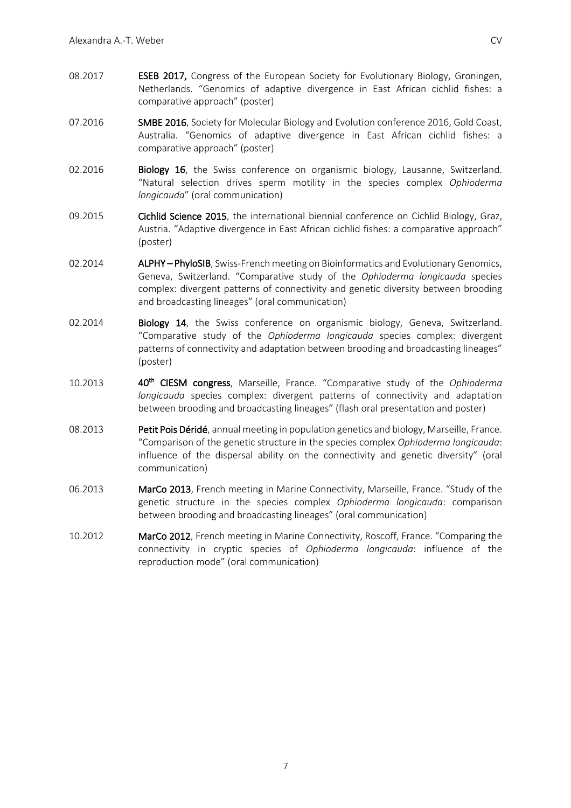- 08.2017 **ESEB 2017, Congress of the European Society for Evolutionary Biology, Groningen,** Netherlands. "Genomics of adaptive divergence in East African cichlid fishes: a comparative approach" (poster)
- 07.2016 SMBE 2016, Society for Molecular Biology and Evolution conference 2016, Gold Coast, Australia. "Genomics of adaptive divergence in East African cichlid fishes: a comparative approach" (poster)
- 02.2016 Biology 16, the Swiss conference on organismic biology, Lausanne, Switzerland. "Natural selection drives sperm motility in the species complex *Ophioderma longicauda*" (oral communication)
- 09.2015 Cichlid Science 2015, the international biennial conference on Cichlid Biology, Graz, Austria. "Adaptive divergence in East African cichlid fishes: a comparative approach" (poster)
- 02.2014 **ALPHY PhyloSIB**, Swiss-French meeting on Bioinformatics and Evolutionary Genomics, Geneva, Switzerland. "Comparative study of the *Ophioderma longicauda* species complex: divergent patterns of connectivity and genetic diversity between brooding and broadcasting lineages" (oral communication)
- 02.2014 Biology 14, the Swiss conference on organismic biology, Geneva, Switzerland. "Comparative study of the *Ophioderma longicauda* species complex: divergent patterns of connectivity and adaptation between brooding and broadcasting lineages" (poster)
- 10.2013 40th CIESM congress, Marseille, France. "Comparative study of the *Ophioderma longicauda* species complex: divergent patterns of connectivity and adaptation between brooding and broadcasting lineages" (flash oral presentation and poster)
- 08.2013 Petit Pois Déridé, annual meeting in population genetics and biology, Marseille, France. "Comparison of the genetic structure in the species complex *Ophioderma longicauda*: influence of the dispersal ability on the connectivity and genetic diversity" (oral communication)
- 06.2013 MarCo 2013, French meeting in Marine Connectivity, Marseille, France. "Study of the genetic structure in the species complex *Ophioderma longicauda*: comparison between brooding and broadcasting lineages" (oral communication)
- 10.2012 MarCo 2012, French meeting in Marine Connectivity, Roscoff, France. "Comparing the connectivity in cryptic species of *Ophioderma longicauda*: influence of the reproduction mode" (oral communication)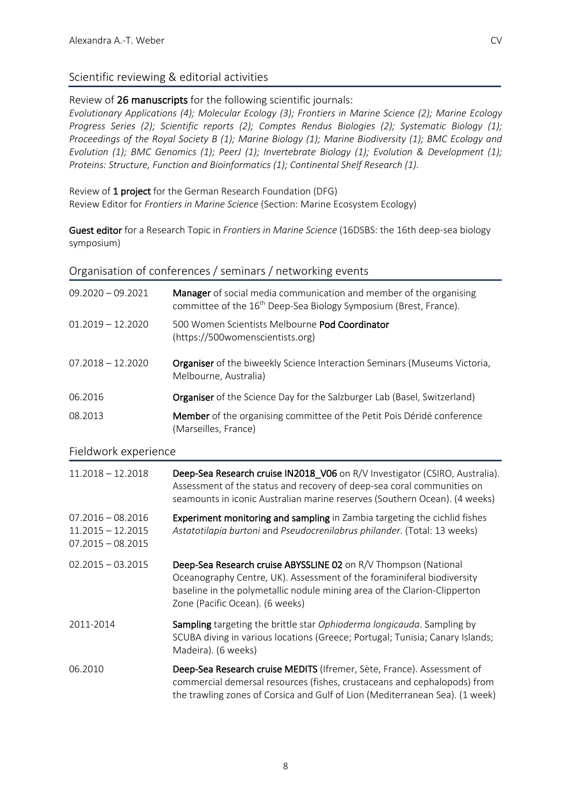# Scientific reviewing & editorial activities

Review of 26 manuscripts for the following scientific journals:

*Evolutionary Applications (4); Molecular Ecology (3); Frontiers in Marine Science (2); Marine Ecology Progress Series (2); Scientific reports (2); Comptes Rendus Biologies (2); Systematic Biology (1); Proceedings of the Royal Society B (1); Marine Biology (1); Marine Biodiversity (1); BMC Ecology and Evolution (1); BMC Genomics (1); PeerJ (1); Invertebrate Biology (1); Evolution & Development (1); Proteins: Structure, Function and Bioinformatics (1); Continental Shelf Research (1).* 

Review of 1 project for the German Research Foundation (DFG) Review Editor for *Frontiers in Marine Science* (Section: Marine Ecosystem Ecology)

Guest editor for a Research Topic in *Frontiers in Marine Science* (16DSBS: the 16th deep-sea biology symposium)

## Organisation of conferences / seminars / networking events

| $09.2020 - 09.2021$                                               | Manager of social media communication and member of the organising<br>committee of the 16 <sup>th</sup> Deep-Sea Biology Symposium (Brest, France).                                                                                                       |
|-------------------------------------------------------------------|-----------------------------------------------------------------------------------------------------------------------------------------------------------------------------------------------------------------------------------------------------------|
| $01.2019 - 12.2020$                                               | 500 Women Scientists Melbourne Pod Coordinator<br>(https://500womenscientists.org)                                                                                                                                                                        |
| $07.2018 - 12.2020$                                               | Organiser of the biweekly Science Interaction Seminars (Museums Victoria,<br>Melbourne, Australia)                                                                                                                                                        |
| 06.2016                                                           | <b>Organiser</b> of the Science Day for the Salzburger Lab (Basel, Switzerland)                                                                                                                                                                           |
| 08.2013                                                           | Member of the organising committee of the Petit Pois Déridé conference<br>(Marseilles, France)                                                                                                                                                            |
| Fieldwork experience                                              |                                                                                                                                                                                                                                                           |
| $11.2018 - 12.2018$                                               | Deep-Sea Research cruise IN2018_V06 on R/V Investigator (CSIRO, Australia).<br>Assessment of the status and recovery of deep-sea coral communities on<br>seamounts in iconic Australian marine reserves (Southern Ocean). (4 weeks)                       |
| $07.2016 - 08.2016$<br>$11.2015 - 12.2015$<br>$07.2015 - 08.2015$ | Experiment monitoring and sampling in Zambia targeting the cichlid fishes<br>Astatotilapia burtoni and Pseudocrenilabrus philander. (Total: 13 weeks)                                                                                                     |
| $02.2015 - 03.2015$                                               | Deep-Sea Research cruise ABYSSLINE 02 on R/V Thompson (National<br>Oceanography Centre, UK). Assessment of the foraminiferal biodiversity<br>baseline in the polymetallic nodule mining area of the Clarion-Clipperton<br>Zone (Pacific Ocean). (6 weeks) |
| 2011-2014                                                         | Sampling targeting the brittle star Ophioderma longicauda. Sampling by<br>SCUBA diving in various locations (Greece; Portugal; Tunisia; Canary Islands;<br>Madeira). (6 weeks)                                                                            |
| 06.2010                                                           | Deep-Sea Research cruise MEDITS (Ifremer, Sète, France). Assessment of<br>commercial demersal resources (fishes, crustaceans and cephalopods) from<br>the trawling zones of Corsica and Gulf of Lion (Mediterranean Sea). (1 week)                        |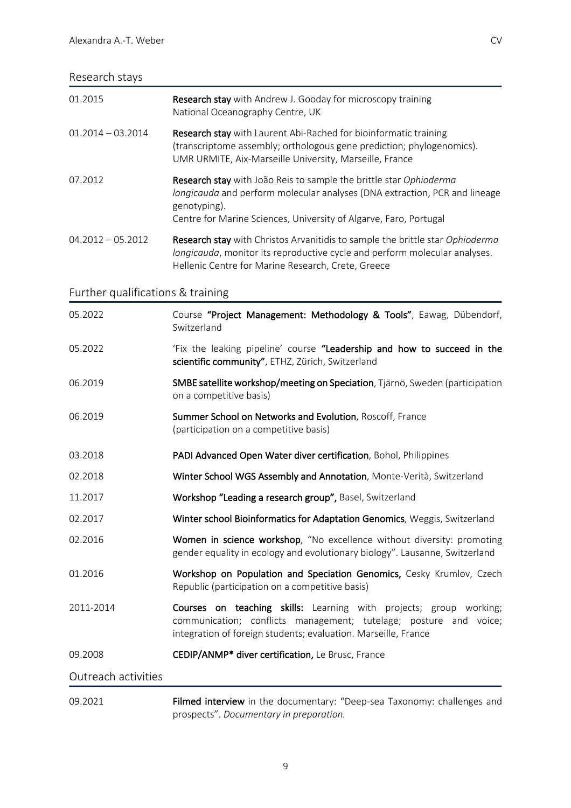# Research stays

| 01.2015                           | Research stay with Andrew J. Gooday for microscopy training<br>National Oceanography Centre, UK                                                                                                                                       |
|-----------------------------------|---------------------------------------------------------------------------------------------------------------------------------------------------------------------------------------------------------------------------------------|
| $01.2014 - 03.2014$               | Research stay with Laurent Abi-Rached for bioinformatic training<br>(transcriptome assembly; orthologous gene prediction; phylogenomics).<br>UMR URMITE, Aix-Marseille University, Marseille, France                                  |
| 07.2012                           | Research stay with João Reis to sample the brittle star Ophioderma<br>longicauda and perform molecular analyses (DNA extraction, PCR and lineage<br>genotyping).<br>Centre for Marine Sciences, University of Algarve, Faro, Portugal |
| $04.2012 - 05.2012$               | Research stay with Christos Arvanitidis to sample the brittle star Ophioderma<br>longicauda, monitor its reproductive cycle and perform molecular analyses.<br>Hellenic Centre for Marine Research, Crete, Greece                     |
| Further qualifications & training |                                                                                                                                                                                                                                       |
| 05.2022                           | Course "Project Management: Methodology & Tools", Eawag, Dübendorf,<br>Switzerland                                                                                                                                                    |
| 05.2022                           | 'Fix the leaking pipeline' course "Leadership and how to succeed in the<br>scientific community", ETHZ, Zürich, Switzerland                                                                                                           |
| 06.2019                           | SMBE satellite workshop/meeting on Speciation, Tjärnö, Sweden (participation<br>on a competitive basis)                                                                                                                               |
| 06.2019                           | Summer School on Networks and Evolution, Roscoff, France<br>(participation on a competitive basis)                                                                                                                                    |
| 03.2018                           | PADI Advanced Open Water diver certification, Bohol, Philippines                                                                                                                                                                      |
| 02.2018                           | Winter School WGS Assembly and Annotation, Monte-Verità, Switzerland                                                                                                                                                                  |
| 11.2017                           | Workshop "Leading a research group", Basel, Switzerland                                                                                                                                                                               |
| 02.2017                           | Winter school Bioinformatics for Adaptation Genomics, Weggis, Switzerland                                                                                                                                                             |
| 02.2016                           | Women in science workshop, "No excellence without diversity: promoting<br>gender equality in ecology and evolutionary biology". Lausanne, Switzerland                                                                                 |
| 01.2016                           | Workshop on Population and Speciation Genomics, Cesky Krumlov, Czech<br>Republic (participation on a competitive basis)                                                                                                               |
| 2011-2014                         | Courses on teaching skills: Learning with projects; group working;<br>communication; conflicts management; tutelage; posture and voice;<br>integration of foreign students; evaluation. Marseille, France                             |
| 09.2008                           | CEDIP/ANMP* diver certification, Le Brusc, France                                                                                                                                                                                     |
| Outreach activities               |                                                                                                                                                                                                                                       |
| 09.2021                           | Filmed interview in the documentary: "Deep-sea Taxonomy: challenges and<br>prospects". Documentary in preparation.                                                                                                                    |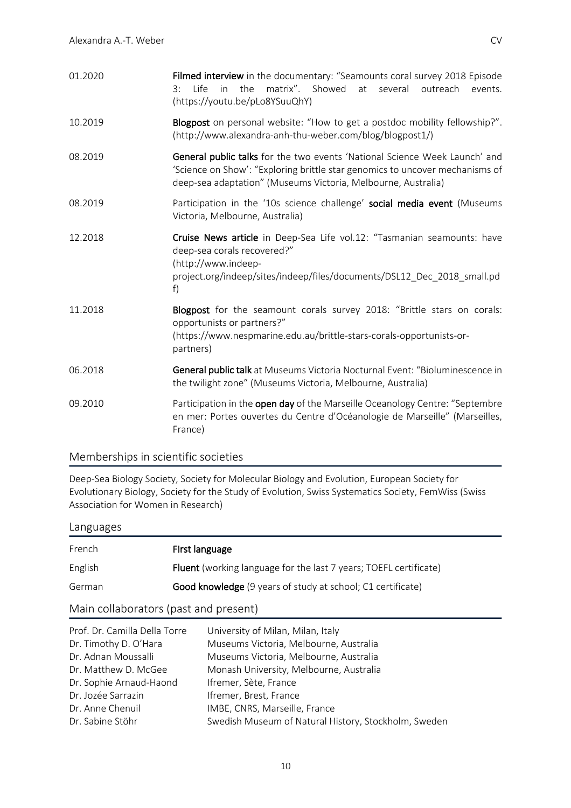| 01.2020 | Filmed interview in the documentary: "Seamounts coral survey 2018 Episode<br>matrix". Showed<br>l ife l<br>in<br>the<br>at<br>several<br>outreach<br>3:<br>events.<br>(https://youtu.be/pLo8YSuuQhY)                        |
|---------|-----------------------------------------------------------------------------------------------------------------------------------------------------------------------------------------------------------------------------|
| 10.2019 | Blogpost on personal website: "How to get a postdoc mobility fellowship?".<br>(http://www.alexandra-anh-thu-weber.com/blog/blogpost1/)                                                                                      |
| 08.2019 | General public talks for the two events 'National Science Week Launch' and<br>'Science on Show': "Exploring brittle star genomics to uncover mechanisms of<br>deep-sea adaptation" (Museums Victoria, Melbourne, Australia) |
| 08.2019 | Participation in the '10s science challenge' social media event (Museums<br>Victoria, Melbourne, Australia)                                                                                                                 |
| 12.2018 | Cruise News article in Deep-Sea Life vol.12: "Tasmanian seamounts: have<br>deep-sea corals recovered?"<br>(http://www.indeep-<br>project.org/indeep/sites/indeep/files/documents/DSL12_Dec_2018_small.pd<br>f)              |
| 11.2018 | Blogpost for the seamount corals survey 2018: "Brittle stars on corals:<br>opportunists or partners?"<br>(https://www.nespmarine.edu.au/brittle-stars-corals-opportunists-or-<br>partners)                                  |
| 06.2018 | General public talk at Museums Victoria Nocturnal Event: "Bioluminescence in<br>the twilight zone" (Museums Victoria, Melbourne, Australia)                                                                                 |
| 09.2010 | Participation in the open day of the Marseille Oceanology Centre: "Septembre<br>en mer: Portes ouvertes du Centre d'Océanologie de Marseille" (Marseilles,<br>France)                                                       |

## Memberships in scientific societies

Deep-Sea Biology Society, Society for Molecular Biology and Evolution, European Society for Evolutionary Biology, Society for the Study of Evolution, Swiss Systematics Society, FemWiss (Swiss Association for Women in Research)

## Languages

| French  | First language                                                           |
|---------|--------------------------------------------------------------------------|
| English | <b>Fluent</b> (working language for the last 7 years; TOEFL certificate) |
| German  | Good knowledge (9 years of study at school; C1 certificate)              |

# Main collaborators (past and present)

| Prof. Dr. Camilla Della Torre | University of Milan, Milan, Italy                    |
|-------------------------------|------------------------------------------------------|
| Dr. Timothy D. O'Hara         | Museums Victoria, Melbourne, Australia               |
| Dr. Adnan Moussalli           | Museums Victoria, Melbourne, Australia               |
| Dr. Matthew D. McGee          | Monash University, Melbourne, Australia              |
| Dr. Sophie Arnaud-Haond       | Ifremer, Sète, France                                |
| Dr. Jozée Sarrazin            | Ifremer, Brest, France                               |
| Dr. Anne Chenuil              | IMBE, CNRS, Marseille, France                        |
| Dr. Sabine Stöhr              | Swedish Museum of Natural History, Stockholm, Sweden |